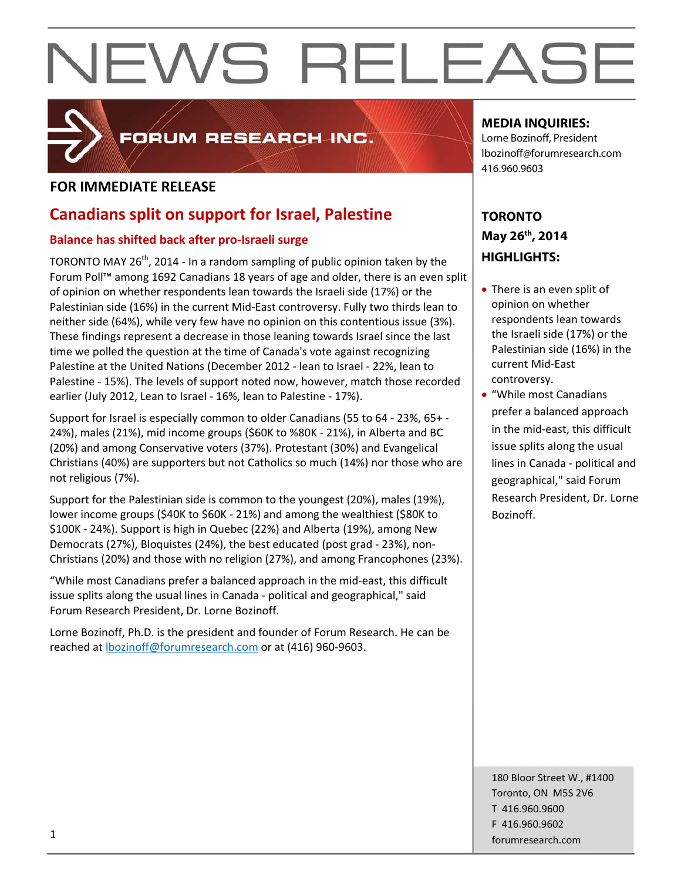

## FORUM RESEARCH INC.

### **FOR IMMEDIATE RELEASE**

### **Canadians split on support for Israel, Palestine**

#### **Balance has shifted back after pro‐Israeli surge**

TORONTO MAY  $26<sup>th</sup>$ , 2014 - In a random sampling of public opinion taken by the Forum Poll™ among 1692 Canadians 18 years of age and older, there is an even split of opinion on whether respondents lean towards the Israeli side (17%) or the Palestinian side (16%) in the current Mid‐East controversy. Fully two thirds lean to neither side (64%), while very few have no opinion on this contentious issue (3%). These findings represent a decrease in those leaning towards Israel since the last time we polled the question at the time of Canada's vote against recognizing Palestine at the United Nations (December 2012 ‐ lean to Israel ‐ 22%, lean to Palestine ‐ 15%). The levels of support noted now, however, match those recorded earlier (July 2012, Lean to Israel ‐ 16%, lean to Palestine ‐ 17%).

Support for Israel is especially common to older Canadians (55 to 64 ‐ 23%, 65+ ‐ 24%), males (21%), mid income groups (\$60K to %80K ‐ 21%), in Alberta and BC (20%) and among Conservative voters (37%). Protestant (30%) and Evangelical Christians (40%) are supporters but not Catholics so much (14%) nor those who are not religious (7%).

Support for the Palestinian side is common to the youngest (20%), males (19%), lower income groups (\$40K to \$60K ‐ 21%) and among the wealthiest (\$80K to \$100K ‐ 24%). Support is high in Quebec (22%) and Alberta (19%), among New Democrats (27%), Bloquistes (24%), the best educated (post grad ‐ 23%), non‐ Christians (20%) and those with no religion (27%), and among Francophones (23%).

"While most Canadians prefer a balanced approach in the mid‐east, this difficult issue splits along the usual lines in Canada ‐ political and geographical," said Forum Research President, Dr. Lorne Bozinoff.

Lorne Bozinoff, Ph.D. is the president and founder of Forum Research. He can be reached at lbozinoff@forumresearch.com or at (416) 960‐9603.

#### **MEDIA INQUIRIES:**

Lorne Bozinoff, President lbozinoff@forumresearch.com 416.960.9603

### **TORONTO May 26th, 2014 HIGHLIGHTS:**

- There is an even split of opinion on whether respondents lean towards the Israeli side (17%) or the Palestinian side (16%) in the current Mid‐East controversy.
- "While most Canadians prefer a balanced approach in the mid‐east, this difficult issue splits along the usual lines in Canada ‐ political and geographical," said Forum Research President, Dr. Lorne Bozinoff.

180 Bloor Street W., #1400 Toronto, ON M5S 2V6 T 416.960.9600 F 416.960.9602 forumresearch.com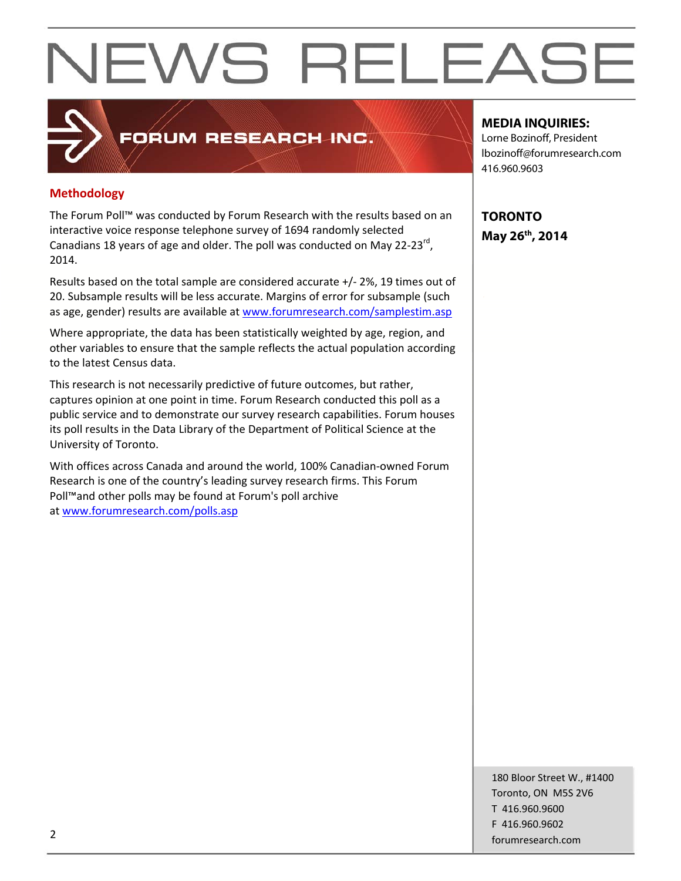**Methodology**

The Forum Poll™ was conducted by Forum Research with the results based on an interactive voice response telephone survey of 1694 randomly selected Canadians 18 years of age and older. The poll was conducted on May 22‐23rd, 2014.

FORUM RESEARCH INC.

Results based on the total sample are considered accurate +/‐ 2%, 19 times out of 20. Subsample results will be less accurate. Margins of error for subsample (such as age, gender) results are available at www.forumresearch.com/samplestim.asp

Where appropriate, the data has been statistically weighted by age, region, and other variables to ensure that the sample reflects the actual population according to the latest Census data.

This research is not necessarily predictive of future outcomes, but rather, captures opinion at one point in time. Forum Research conducted this poll as a public service and to demonstrate our survey research capabilities. Forum houses its poll results in the Data Library of the Department of Political Science at the University of Toronto.

With offices across Canada and around the world, 100% Canadian‐owned Forum Research is one of the country's leading survey research firms. This Forum Poll™and other polls may be found at Forum's poll archive at www.forumresearch.com/polls.asp

#### **MEDIA INQUIRIES:**

Lorne Bozinoff, President lbozinoff@forumresearch.com 416.960.9603

**TORONTO May 26th, 2014** 

180 Bloor Street W., #1400 Toronto, ON M5S 2V6 T 416.960.9600 F 416.960.9602 example to the contract of the contract of the contract of the contract of the contract of the contract of the contract of the contract of the contract of the contract of the contract of the contract of the contract of the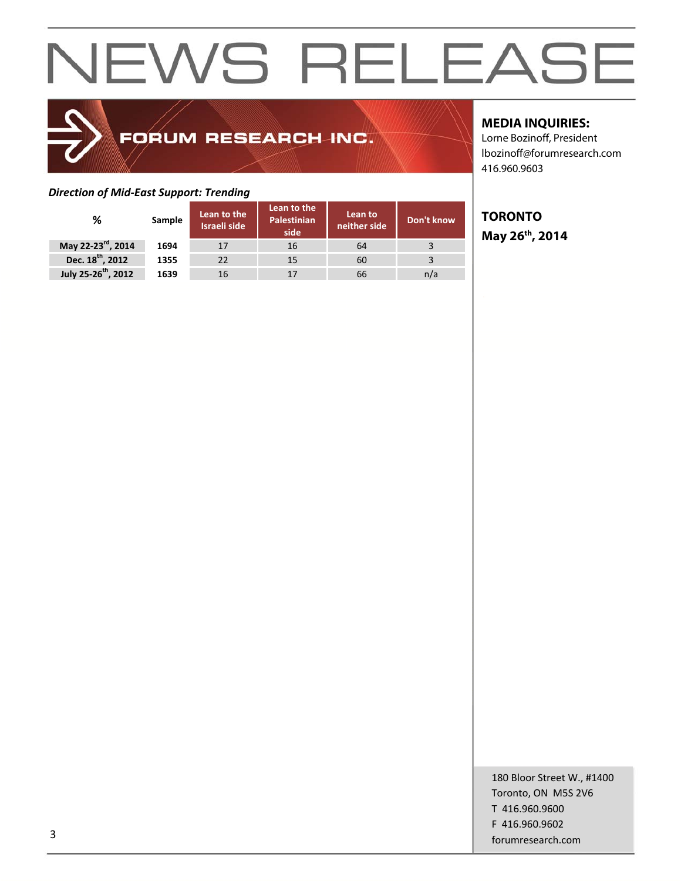## FORUM RESEARCH INC.

#### *Direction of Mid‐East Support: Trending*

|                                 |        |                                    | Lean to the                |                         |            |
|---------------------------------|--------|------------------------------------|----------------------------|-------------------------|------------|
| ℅                               | Sample | Lean to the<br><b>Israeli side</b> | <b>Palestinian</b><br>side | Lean to<br>neither side | Don't know |
| May 22-23 <sup>rd</sup> , 2014  | 1694   | 17                                 | 16                         | 64                      |            |
| Dec. 18 <sup>th</sup> , 2012    | 1355   | 22                                 | 15                         | 60                      |            |
| July 25-26 <sup>th</sup> , 2012 | 1639   | 16                                 | 17                         | 66                      | n/a        |

#### **MEDIA INQUIRIES:**

Lorne Bozinoff, President lbozinoff@forumresearch.com 416.960.9603

### **TORONTO May 26th, 2014**

180 Bloor Street W., #1400 Toronto, ON M5S 2V6 T 416.960.9600 F 416.960.9602 forumresearch.com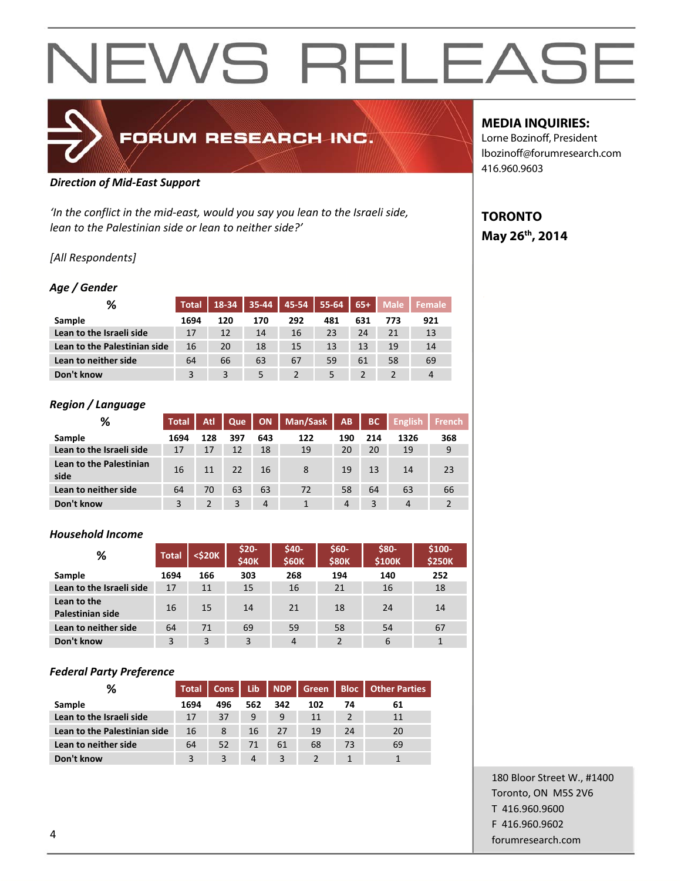

#### *Direction of Mid‐East Support*

*'In the conflict in the mid‐east, would you say you lean to the Israeli side, lean to the Palestinian side or lean to neither side?'*

#### *[All Respondents]*

#### *Age / Gender*

| %                            | <b>Total</b> | 18-34 | $35 - 44$ | 45-54 | $55 - 64$ | $65+$ | <b>Male</b> | <b>Female</b>  |
|------------------------------|--------------|-------|-----------|-------|-----------|-------|-------------|----------------|
| <b>Sample</b>                | 1694         | 120   | 170       | 292   | 481       | 631   | 773         | 921            |
| Lean to the Israeli side     | 17           | 12    | 14        | 16    | 23        | 24    | 21          | 13             |
| Lean to the Palestinian side | 16           | 20    | 18        | 15    | 13        | 13    | 19          | 14             |
| Lean to neither side         | 64           | 66    | 63        | 67    | 59        | 61    | 58          | 69             |
| Don't know                   | 3            | 3     | 5         | 2     | 5         |       |             | $\overline{4}$ |

#### *Region / Language*

| ℅                               | <b>Total</b> | Atl           | Que | <b>ON</b>      | Man/Sask | AB             | <b>BC</b> | <b>English</b> | <b>French</b> |
|---------------------------------|--------------|---------------|-----|----------------|----------|----------------|-----------|----------------|---------------|
| Sample                          | 1694         | 128           | 397 | 643            | 122      | 190            | 214       | 1326           | 368           |
| Lean to the Israeli side        | 17           | 17            | 12  | 18             | 19       | 20             | 20        | 19             | 9             |
| Lean to the Palestinian<br>side | 16           | 11            | 22  | 16             | 8        | 19             | 13        | 14             | 23            |
| Lean to neither side            | 64           | 70            | 63  | 63             | 72       | 58             | 64        | 63             | 66            |
| Don't know                      | 3            | $\mathcal{P}$ | 3   | $\overline{4}$ |          | $\overline{4}$ | 3         | $\overline{4}$ |               |

#### *Household Income*

| %                               | <b>Total</b> | <\$20K | \$20-<br><b>\$40K</b> | $$40-$<br><b>\$60K</b> | \$60-<br><b>\$80K</b> | \$80-<br><b>\$100K</b> | \$100-<br><b>\$250K</b> |
|---------------------------------|--------------|--------|-----------------------|------------------------|-----------------------|------------------------|-------------------------|
| Sample                          | 1694         | 166    | 303                   | 268                    | 194                   | 140                    | 252                     |
| Lean to the Israeli side        | 17           | 11     | 15                    | 16                     | 21                    | 16                     | 18                      |
| Lean to the<br>Palestinian side | 16           | 15     | 14                    | 21                     | 18                    | 24                     | 14                      |
| Lean to neither side            | 64           | 71     | 69                    | 59                     | 58                    | 54                     | 67                      |
| Don't know                      | 3            | 3      | 3                     | 4                      | $\mathcal{P}$         | 6                      | 1                       |

#### *Federal Party Preference*

| %                            | <b>Total</b> | Cons | l Lib | NDP | Green <b>Z</b> |    | <b>Bloc</b>   Other Parties |
|------------------------------|--------------|------|-------|-----|----------------|----|-----------------------------|
| Sample                       | 1694         | 496  | 562   | 342 | 102            | 74 | 61                          |
| Lean to the Israeli side     | 17           | 37   | 9     | 9   | 11             |    | 11                          |
| Lean to the Palestinian side | 16           | 8    | 16    | 27  | 19             | 24 | 20                          |
| Lean to neither side         | 64           | 52   | 71    | 61  | 68             | 73 | 69                          |
| Don't know                   | 3            |      | 4     | 3   |                |    |                             |

#### **MEDIA INQUIRIES:**

Lorne Bozinoff, President lbozinoff@forumresearch.com 416.960.9603

### **TORONTO May 26th, 2014**

180 Bloor Street W., #1400 Toronto, ON M5S 2V6 T 416.960.9600 F 416.960.9602 example to the contract of the contract of the contract of the contract of the contract of the contract of the contract of the contract of the contract of the contract of the contract of the contract of the contract of the